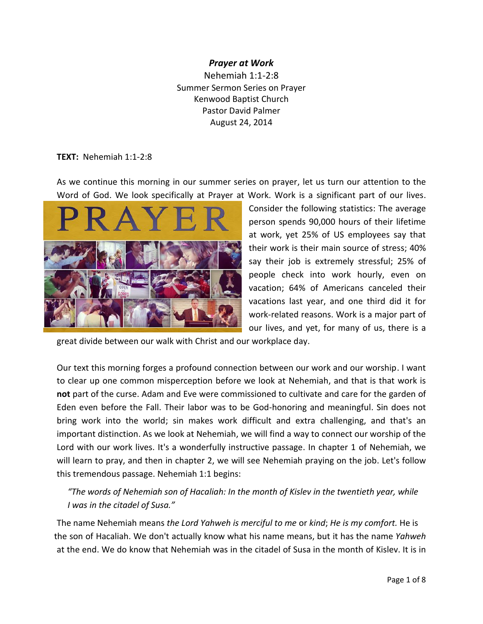#### *Prayer at Work*

Nehemiah 1:1-2:8 Summer Sermon Series on Prayer Kenwood Baptist Church Pastor David Palmer August 24, 2014

#### **TEXT:** Nehemiah 1:1-2:8

As we continue this morning in our summer series on prayer, let us turn our attention to the Word of God. We look specifically at Prayer at Work. Work is a significant part of our lives.



Consider the following statistics: The average person spends 90,000 hours of their lifetime at work, yet 25% of US employees say that their work is their main source of stress; 40% say their job is extremely stressful; 25% of people check into work hourly, even on vacation; 64% of Americans canceled their vacations last year, and one third did it for work-related reasons. Work is a major part of our lives, and yet, for many of us, there is a

great divide between our walk with Christ and our workplace day.

Our text this morning forges a profound connection between our work and our worship. I want to clear up one common misperception before we look at Nehemiah, and that is that work is **not** part of the curse. Adam and Eve were commissioned to cultivate and care for the garden of Eden even before the Fall. Their labor was to be God-honoring and meaningful. Sin does not bring work into the world; sin makes work difficult and extra challenging, and that's an important distinction. As we look at Nehemiah, we will find a way to connect our worship of the Lord with our work lives. It's a wonderfully instructive passage. In chapter 1 of Nehemiah, we will learn to pray, and then in chapter 2, we will see Nehemiah praying on the job. Let's follow this tremendous passage. Nehemiah 1:1 begins:

 *"The words of Nehemiah son of Hacaliah: In the month of Kislev in the twentieth year, while I was in the citadel of Susa."*

The name Nehemiah means *the Lord Yahweh is merciful to me* or *kind*; *He is my comfort.* He is the son of Hacaliah. We don't actually know what his name means, but it has the name *Yahweh*  at the end. We do know that Nehemiah was in the citadel of Susa in the month of Kislev. It is in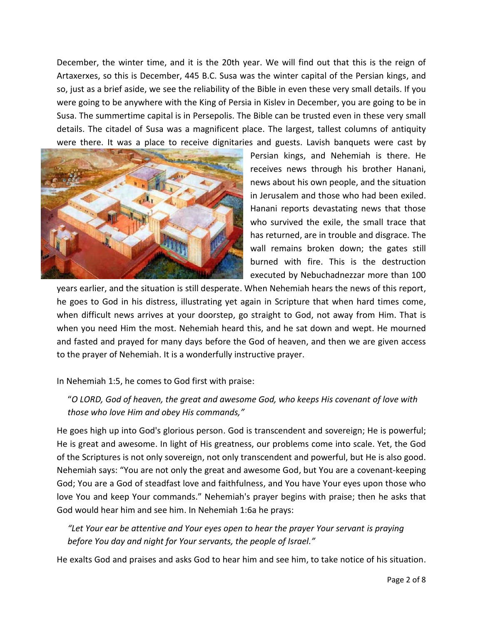December, the winter time, and it is the 20th year. We will find out that this is the reign of Artaxerxes, so this is December, 445 B.C. Susa was the winter capital of the Persian kings, and so, just as a brief aside, we see the reliability of the Bible in even these very small details. If you were going to be anywhere with the King of Persia in Kislev in December, you are going to be in Susa. The summertime capital is in Persepolis. The Bible can be trusted even in these very small details. The citadel of Susa was a magnificent place. The largest, tallest columns of antiquity were there. It was a place to receive dignitaries and guests. Lavish banquets were cast by



Persian kings, and Nehemiah is there. He receives news through his brother Hanani, news about his own people, and the situation in Jerusalem and those who had been exiled. Hanani reports devastating news that those who survived the exile, the small trace that has returned, are in trouble and disgrace. The wall remains broken down; the gates still burned with fire. This is the destruction executed by Nebuchadnezzar more than 100

years earlier, and the situation is still desperate. When Nehemiah hears the news of this report, he goes to God in his distress, illustrating yet again in Scripture that when hard times come, when difficult news arrives at your doorstep, go straight to God, not away from Him. That is when you need Him the most. Nehemiah heard this, and he sat down and wept. He mourned and fasted and prayed for many days before the God of heaven, and then we are given access to the prayer of Nehemiah. It is a wonderfully instructive prayer.

#### In Nehemiah 1:5, he comes to God first with praise:

 "*O LORD, God of heaven, the great and awesome God, who keeps His covenant of love with those who love Him and obey His commands,"*

He goes high up into God's glorious person. God is transcendent and sovereign; He is powerful; He is great and awesome. In light of His greatness, our problems come into scale. Yet, the God of the Scriptures is not only sovereign, not only transcendent and powerful, but He is also good. Nehemiah says: "You are not only the great and awesome God, but You are a covenant-keeping God; You are a God of steadfast love and faithfulness, and You have Your eyes upon those who love You and keep Your commands." Nehemiah's prayer begins with praise; then he asks that God would hear him and see him. In Nehemiah 1:6a he prays:

"Let Your ear be attentive and Your eyes open to hear the prayer Your servant is praying  *before You day and night for Your servants, the people of Israel."*

He exalts God and praises and asks God to hear him and see him, to take notice of his situation.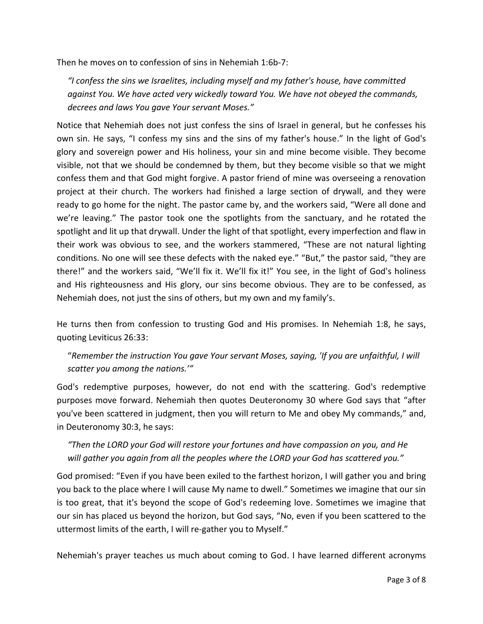Then he moves on to confession of sins in Nehemiah 1:6b-7:

 *"I confess the sins we Israelites, including myself and my father's house, have committed against You. We have acted very wickedly toward You. We have not obeyed the commands, decrees and laws You gave Your servant Moses."*

Notice that Nehemiah does not just confess the sins of Israel in general, but he confesses his own sin. He says, "I confess my sins and the sins of my father's house." In the light of God's glory and sovereign power and His holiness, your sin and mine become visible. They become visible, not that we should be condemned by them, but they become visible so that we might confess them and that God might forgive. A pastor friend of mine was overseeing a renovation project at their church. The workers had finished a large section of drywall, and they were ready to go home for the night. The pastor came by, and the workers said, "Were all done and we're leaving." The pastor took one the spotlights from the sanctuary, and he rotated the spotlight and lit up that drywall. Under the light of that spotlight, every imperfection and flaw in their work was obvious to see, and the workers stammered, "These are not natural lighting conditions. No one will see these defects with the naked eye." "But," the pastor said, "they are there!" and the workers said, "We'll fix it. We'll fix it!" You see, in the light of God's holiness and His righteousness and His glory, our sins become obvious. They are to be confessed, as Nehemiah does, not just the sins of others, but my own and my family's.

He turns then from confession to trusting God and His promises. In Nehemiah 1:8, he says, quoting Leviticus 26:33:

 "*Remember the instruction You gave Your servant Moses, saying, 'If you are unfaithful, I will scatter you among the nations.'"*

God's redemptive purposes, however, do not end with the scattering. God's redemptive purposes move forward. Nehemiah then quotes Deuteronomy 30 where God says that "after you've been scattered in judgment, then you will return to Me and obey My commands," and, in Deuteronomy 30:3, he says:

# *"Then the LORD your God will restore your fortunes and have compassion on you, and He will gather you again from all the peoples where the LORD your God has scattered you."*

God promised: "Even if you have been exiled to the farthest horizon, I will gather you and bring you back to the place where I will cause My name to dwell." Sometimes we imagine that our sin is too great, that it's beyond the scope of God's redeeming love. Sometimes we imagine that our sin has placed us beyond the horizon, but God says, "No, even if you been scattered to the uttermost limits of the earth, I will re-gather you to Myself."

Nehemiah's prayer teaches us much about coming to God. I have learned different acronyms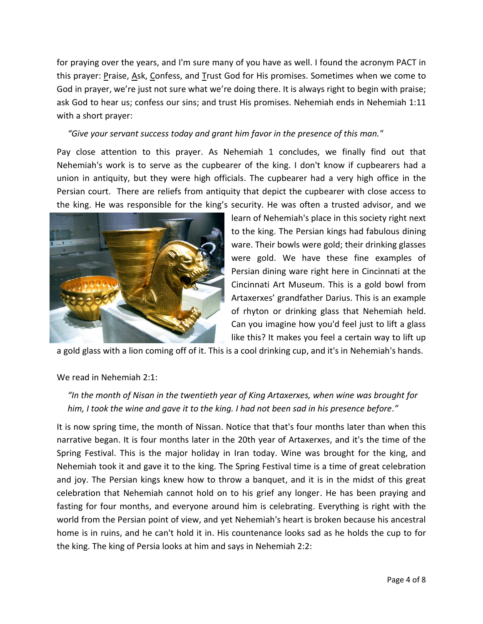for praying over the years, and I'm sure many of you have as well. I found the acronym PACT in this prayer: Praise, Ask, Confess, and Trust God for His promises. Sometimes when we come to God in prayer, we're just not sure what we're doing there. It is always right to begin with praise; ask God to hear us; confess our sins; and trust His promises. Nehemiah ends in Nehemiah 1:11 with a short prayer:

#### *"Give your servant success today and grant him favor in the presence of this man."*

Pay close attention to this prayer. As Nehemiah 1 concludes, we finally find out that Nehemiah's work is to serve as the cupbearer of the king. I don't know if cupbearers had a union in antiquity, but they were high officials. The cupbearer had a very high office in the Persian court. There are reliefs from antiquity that depict the cupbearer with close access to the king. He was responsible for the king's security. He was often a trusted advisor, and we



learn of Nehemiah's place in this society right next to the king. The Persian kings had fabulous dining ware. Their bowls were gold; their drinking glasses were gold. We have these fine examples of Persian dining ware right here in Cincinnati at the Cincinnati Art Museum. This is a gold bowl from Artaxerxes' grandfather Darius. This is an example of rhyton or drinking glass that Nehemiah held. Can you imagine how you'd feel just to lift a glass like this? It makes you feel a certain way to lift up

a gold glass with a lion coming off of it. This is a cool drinking cup, and it's in Nehemiah's hands.

## We read in Nehemiah 2:1:

# *"In the month of Nisan in the twentieth year of King Artaxerxes, when wine was brought for him, I took the wine and gave it to the king. I had not been sad in his presence before."*

It is now spring time, the month of Nissan. Notice that that's four months later than when this narrative began. It is four months later in the 20th year of Artaxerxes, and it's the time of the Spring Festival. This is the major holiday in Iran today. Wine was brought for the king, and Nehemiah took it and gave it to the king. The Spring Festival time is a time of great celebration and joy. The Persian kings knew how to throw a banquet, and it is in the midst of this great celebration that Nehemiah cannot hold on to his grief any longer. He has been praying and fasting for four months, and everyone around him is celebrating. Everything is right with the world from the Persian point of view, and yet Nehemiah's heart is broken because his ancestral home is in ruins, and he can't hold it in. His countenance looks sad as he holds the cup to for the king. The king of Persia looks at him and says in Nehemiah 2:2: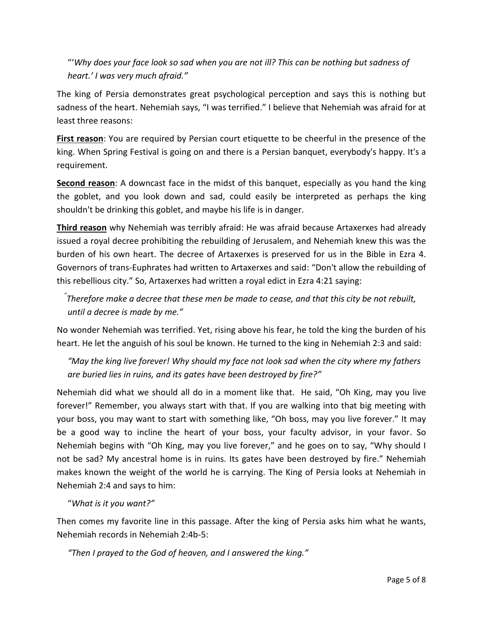"'*Why does your face look so sad when you are not ill? This can be nothing but sadness of heart.' I was very much afraid."*

The king of Persia demonstrates great psychological perception and says this is nothing but sadness of the heart. Nehemiah says, "I was terrified." I believe that Nehemiah was afraid for at least three reasons:

**First reason**: You are required by Persian court etiquette to be cheerful in the presence of the king. When Spring Festival is going on and there is a Persian banquet, everybody's happy. It's a requirement.

**Second reason**: A downcast face in the midst of this banquet, especially as you hand the king the goblet, and you look down and sad, could easily be interpreted as perhaps the king shouldn't be drinking this goblet, and maybe his life is in danger.

**Third reason** why Nehemiah was terribly afraid: He was afraid because Artaxerxes had already issued a royal decree prohibiting the rebuilding of Jerusalem, and Nehemiah knew this was the burden of his own heart. The decree of Artaxerxes is preserved for us in the Bible in Ezra 4. Governors of trans-Euphrates had written to Artaxerxes and said: "Don't allow the rebuilding of this rebellious city." So, Artaxerxes had written a royal edict in Ezra 4:21 saying:

 *" Therefore make a decree that these men be made to cease, and that this city be not rebuilt, until a decree is made by me."*

No wonder Nehemiah was terrified. Yet, rising above his fear, he told the king the burden of his heart. He let the anguish of his soul be known. He turned to the king in Nehemiah 2:3 and said:

 *"May the king live forever! Why should my face not look sad when the city where my fathers are buried lies in ruins, and its gates have been destroyed by fire?"*

Nehemiah did what we should all do in a moment like that. He said, "Oh King, may you live forever!" Remember, you always start with that. If you are walking into that big meeting with your boss, you may want to start with something like, "Oh boss, may you live forever." It may be a good way to incline the heart of your boss, your faculty advisor, in your favor. So Nehemiah begins with "Oh King, may you live forever," and he goes on to say, "Why should I not be sad? My ancestral home is in ruins. Its gates have been destroyed by fire." Nehemiah makes known the weight of the world he is carrying. The King of Persia looks at Nehemiah in Nehemiah 2:4 and says to him:

"*What is it you want?"*

Then comes my favorite line in this passage. After the king of Persia asks him what he wants, Nehemiah records in Nehemiah 2:4b-5:

 *"Then I prayed to the God of heaven, and I answered the king."*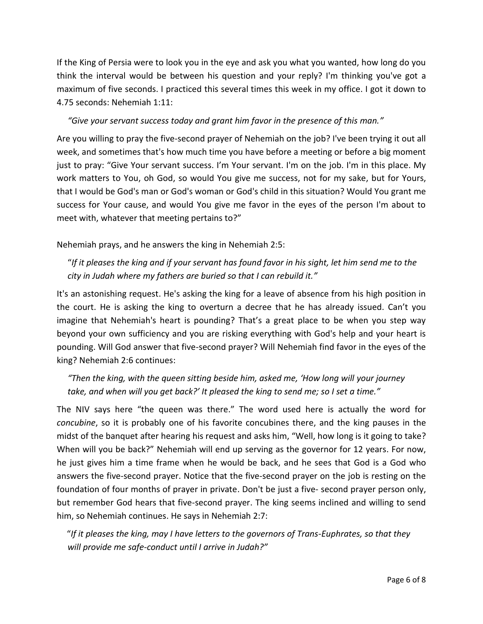If the King of Persia were to look you in the eye and ask you what you wanted, how long do you think the interval would be between his question and your reply? I'm thinking you've got a maximum of five seconds. I practiced this several times this week in my office. I got it down to 4.75 seconds: Nehemiah 1:11:

### *"Give your servant success today and grant him favor in the presence of this man."*

Are you willing to pray the five-second prayer of Nehemiah on the job? I've been trying it out all week, and sometimes that's how much time you have before a meeting or before a big moment just to pray: "Give Your servant success. I'm Your servant. I'm on the job. I'm in this place. My work matters to You, oh God, so would You give me success, not for my sake, but for Yours, that I would be God's man or God's woman or God's child in this situation? Would You grant me success for Your cause, and would You give me favor in the eyes of the person I'm about to meet with, whatever that meeting pertains to?"

Nehemiah prays, and he answers the king in Nehemiah 2:5:

 "*If it pleases the king and if your servant has found favor in his sight, let him send me to the city in Judah where my fathers are buried so that I can rebuild it."*

It's an astonishing request. He's asking the king for a leave of absence from his high position in the court. He is asking the king to overturn a decree that he has already issued. Can't you imagine that Nehemiah's heart is pounding? That's a great place to be when you step way beyond your own sufficiency and you are risking everything with God's help and your heart is pounding. Will God answer that five-second prayer? Will Nehemiah find favor in the eyes of the king? Nehemiah 2:6 continues:

 *"Then the king, with the queen sitting beside him, asked me, 'How long will your journey take, and when will you get back?' It pleased the king to send me; so I set a time."*

The NIV says here "the queen was there." The word used here is actually the word for *concubine*, so it is probably one of his favorite concubines there, and the king pauses in the midst of the banquet after hearing his request and asks him, "Well, how long is it going to take? When will you be back?" Nehemiah will end up serving as the governor for 12 years. For now, he just gives him a time frame when he would be back, and he sees that God is a God who answers the five-second prayer. Notice that the five-second prayer on the job is resting on the foundation of four months of prayer in private. Don't be just a five- second prayer person only, but remember God hears that five-second prayer. The king seems inclined and willing to send him, so Nehemiah continues. He says in Nehemiah 2:7:

 "*If it pleases the king, may I have letters to the governors of Trans-Euphrates, so that they will provide me safe-conduct until I arrive in Judah?"*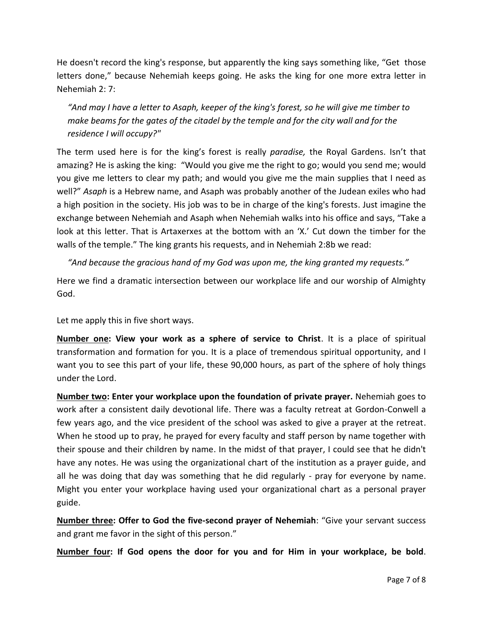He doesn't record the king's response, but apparently the king says something like, "Get those letters done," because Nehemiah keeps going. He asks the king for one more extra letter in Nehemiah 2: 7:

 *"And may I have a letter to Asaph, keeper of the king's forest, so he will give me timber to make beams for the gates of the citadel by the temple and for the city wall and for the residence I will occupy?"* 

The term used here is for the king's forest is really *paradise,* the Royal Gardens. Isn't that amazing? He is asking the king: "Would you give me the right to go; would you send me; would you give me letters to clear my path; and would you give me the main supplies that I need as well?" *Asaph* is a Hebrew name, and Asaph was probably another of the Judean exiles who had a high position in the society. His job was to be in charge of the king's forests. Just imagine the exchange between Nehemiah and Asaph when Nehemiah walks into his office and says, "Take a look at this letter. That is Artaxerxes at the bottom with an 'X.' Cut down the timber for the walls of the temple." The king grants his requests, and in Nehemiah 2:8b we read:

*"And because the gracious hand of my God was upon me, the king granted my requests."*

Here we find a dramatic intersection between our workplace life and our worship of Almighty God.

Let me apply this in five short ways.

**Number one: View your work as a sphere of service to Christ**. It is a place of spiritual transformation and formation for you. It is a place of tremendous spiritual opportunity, and I want you to see this part of your life, these 90,000 hours, as part of the sphere of holy things under the Lord.

**Number two: Enter your workplace upon the foundation of private prayer.** Nehemiah goes to work after a consistent daily devotional life. There was a faculty retreat at Gordon-Conwell a few years ago, and the vice president of the school was asked to give a prayer at the retreat. When he stood up to pray, he prayed for every faculty and staff person by name together with their spouse and their children by name. In the midst of that prayer, I could see that he didn't have any notes. He was using the organizational chart of the institution as a prayer guide, and all he was doing that day was something that he did regularly - pray for everyone by name. Might you enter your workplace having used your organizational chart as a personal prayer guide.

**Number three: Offer to God the five-second prayer of Nehemiah**: "Give your servant success and grant me favor in the sight of this person."

**Number four: If God opens the door for you and for Him in your workplace, be bold**.